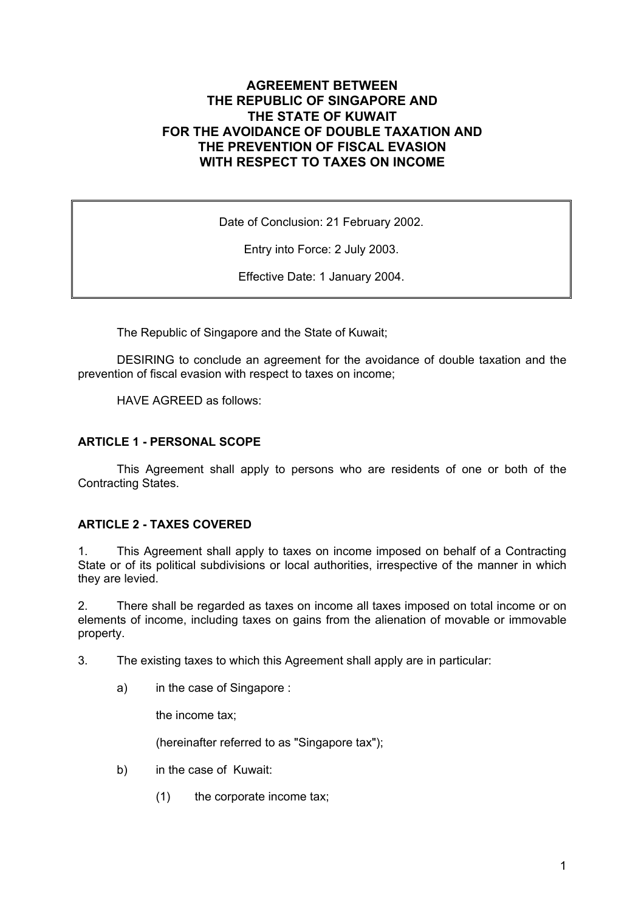# **AGREEMENT BETWEEN THE REPUBLIC OF SINGAPORE AND THE STATE OF KUWAIT FOR THE AVOIDANCE OF DOUBLE TAXATION AND THE PREVENTION OF FISCAL EVASION WITH RESPECT TO TAXES ON INCOME**

Date of Conclusion: 21 February 2002.

Entry into Force: 2 July 2003.

Effective Date: 1 January 2004.

The Republic of Singapore and the State of Kuwait;

DESIRING to conclude an agreement for the avoidance of double taxation and the prevention of fiscal evasion with respect to taxes on income;

HAVE AGREED as follows:

### **ARTICLE 1 - PERSONAL SCOPE**

This Agreement shall apply to persons who are residents of one or both of the Contracting States.

#### **ARTICLE 2 - TAXES COVERED**

1. This Agreement shall apply to taxes on income imposed on behalf of a Contracting State or of its political subdivisions or local authorities, irrespective of the manner in which they are levied.

2. There shall be regarded as taxes on income all taxes imposed on total income or on elements of income, including taxes on gains from the alienation of movable or immovable property.

3. The existing taxes to which this Agreement shall apply are in particular:

a) in the case of Singapore :

the income tax;

(hereinafter referred to as "Singapore tax");

- b) in the case of Kuwait:
	- (1) the corporate income tax;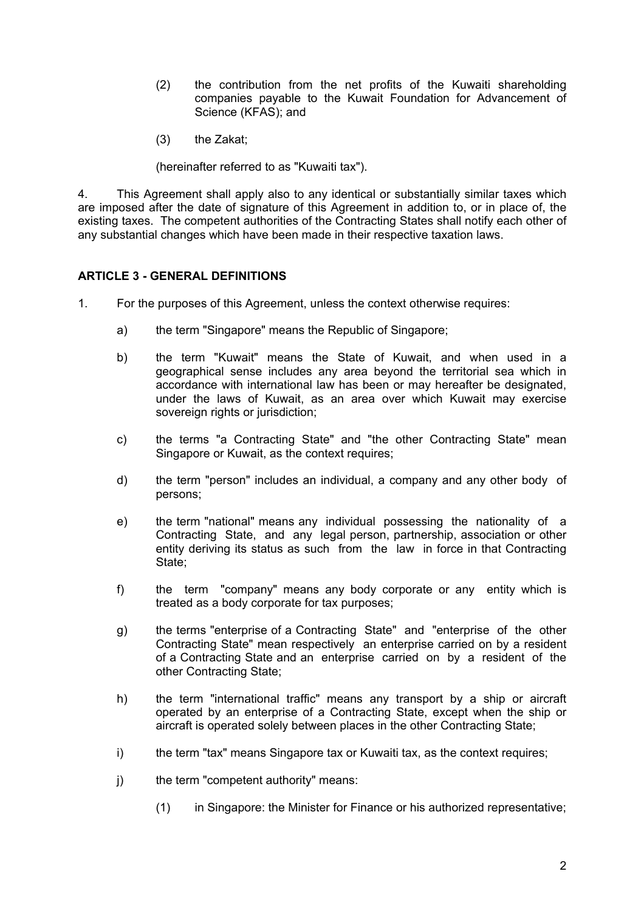- (2) the contribution from the net profits of the Kuwaiti shareholding companies payable to the Kuwait Foundation for Advancement of Science (KFAS); and
- (3) the Zakat;

(hereinafter referred to as "Kuwaiti tax").

4. This Agreement shall apply also to any identical or substantially similar taxes which are imposed after the date of signature of this Agreement in addition to, or in place of, the existing taxes. The competent authorities of the Contracting States shall notify each other of any substantial changes which have been made in their respective taxation laws.

## **ARTICLE 3 - GENERAL DEFINITIONS**

- 1. For the purposes of this Agreement, unless the context otherwise requires:
	- a) the term "Singapore" means the Republic of Singapore;
	- b) the term "Kuwait" means the State of Kuwait, and when used in a geographical sense includes any area beyond the territorial sea which in accordance with international law has been or may hereafter be designated, under the laws of Kuwait, as an area over which Kuwait may exercise sovereign rights or jurisdiction;
	- c) the terms "a Contracting State" and "the other Contracting State" mean Singapore or Kuwait, as the context requires;
	- d) the term "person" includes an individual, a company and any other body of persons;
	- e) the term "national" means any individual possessing the nationality of a Contracting State, and any legal person, partnership, association or other entity deriving its status as such from the law in force in that Contracting State;
	- f) the term "company" means any body corporate or any entity which is treated as a body corporate for tax purposes;
	- g) the terms "enterprise of a Contracting State" and "enterprise of the other Contracting State" mean respectively an enterprise carried on by a resident of a Contracting State and an enterprise carried on by a resident of the other Contracting State;
	- h) the term "international traffic" means any transport by a ship or aircraft operated by an enterprise of a Contracting State, except when the ship or aircraft is operated solely between places in the other Contracting State;
	- i) the term "tax" means Singapore tax or Kuwaiti tax, as the context requires;
	- j) the term "competent authority" means:
		- (1) in Singapore: the Minister for Finance or his authorized representative;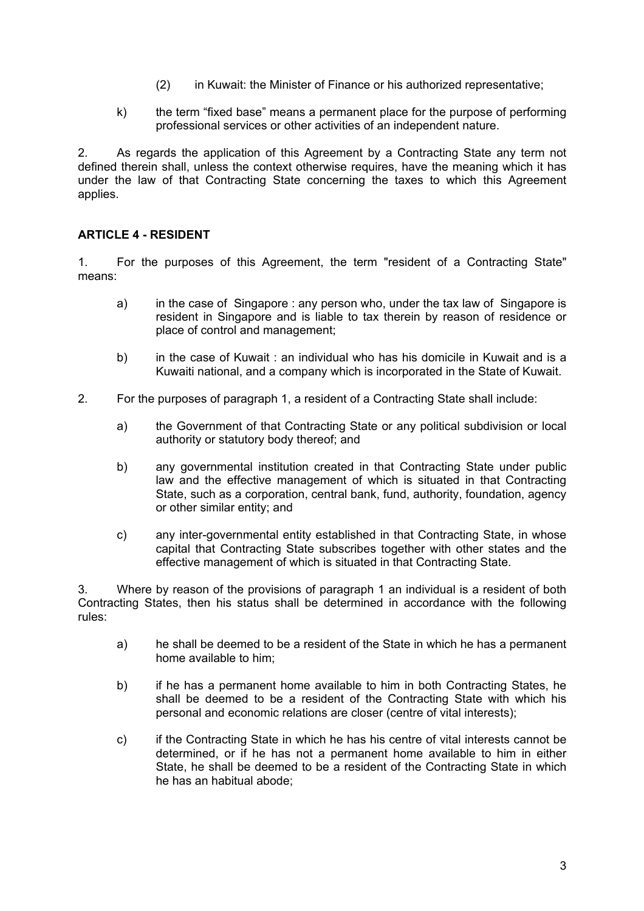- (2) in Kuwait: the Minister of Finance or his authorized representative;
- k) the term "fixed base" means a permanent place for the purpose of performing professional services or other activities of an independent nature.

2. As regards the application of this Agreement by a Contracting State any term not defined therein shall, unless the context otherwise requires, have the meaning which it has under the law of that Contracting State concerning the taxes to which this Agreement applies.

# **ARTICLE 4 - RESIDENT**

1. For the purposes of this Agreement, the term "resident of a Contracting State" means:

- a) in the case of Singapore : any person who, under the tax law of Singapore is resident in Singapore and is liable to tax therein by reason of residence or place of control and management;
- b) in the case of Kuwait : an individual who has his domicile in Kuwait and is a Kuwaiti national, and a company which is incorporated in the State of Kuwait.
- 2. For the purposes of paragraph 1, a resident of a Contracting State shall include:
	- a) the Government of that Contracting State or any political subdivision or local authority or statutory body thereof; and
	- b) any governmental institution created in that Contracting State under public law and the effective management of which is situated in that Contracting State, such as a corporation, central bank, fund, authority, foundation, agency or other similar entity; and
	- c) any inter-governmental entity established in that Contracting State, in whose capital that Contracting State subscribes together with other states and the effective management of which is situated in that Contracting State.

3. Where by reason of the provisions of paragraph 1 an individual is a resident of both Contracting States, then his status shall be determined in accordance with the following rules:

- a) he shall be deemed to be a resident of the State in which he has a permanent home available to him;
- b) if he has a permanent home available to him in both Contracting States, he shall be deemed to be a resident of the Contracting State with which his personal and economic relations are closer (centre of vital interests);
- c) if the Contracting State in which he has his centre of vital interests cannot be determined, or if he has not a permanent home available to him in either State, he shall be deemed to be a resident of the Contracting State in which he has an habitual abode;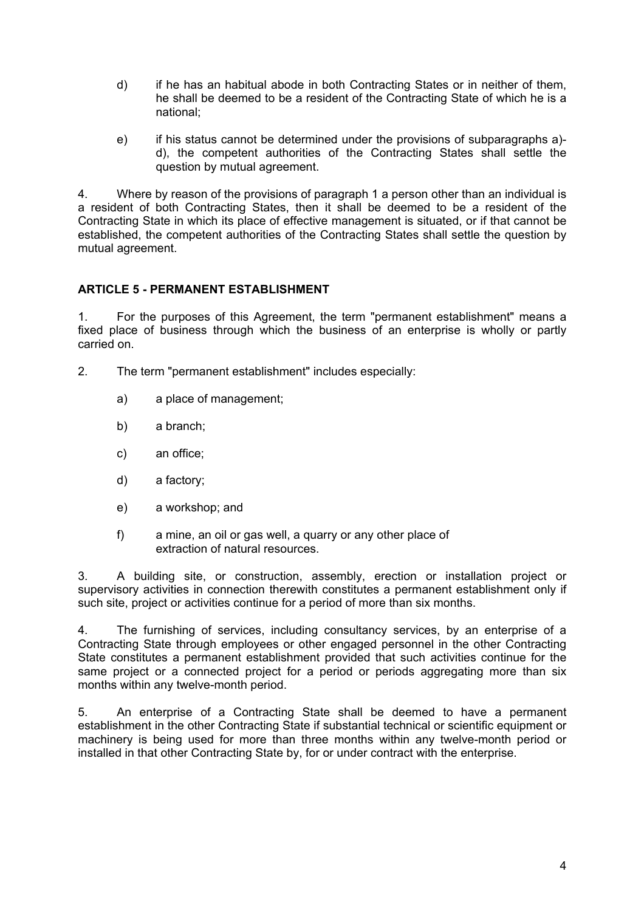- d) if he has an habitual abode in both Contracting States or in neither of them, he shall be deemed to be a resident of the Contracting State of which he is a national;
- e) if his status cannot be determined under the provisions of subparagraphs a) d), the competent authorities of the Contracting States shall settle the question by mutual agreement.

4. Where by reason of the provisions of paragraph 1 a person other than an individual is a resident of both Contracting States, then it shall be deemed to be a resident of the Contracting State in which its place of effective management is situated, or if that cannot be established, the competent authorities of the Contracting States shall settle the question by mutual agreement.

## **ARTICLE 5 - PERMANENT ESTABLISHMENT**

1. For the purposes of this Agreement, the term "permanent establishment" means a fixed place of business through which the business of an enterprise is wholly or partly carried on.

- 2. The term "permanent establishment" includes especially:
	- a) a place of management;
	- b) a branch;
	- c) an office;
	- d) a factory;
	- e) a workshop; and
	- f) a mine, an oil or gas well, a quarry or any other place of extraction of natural resources.

3. A building site, or construction, assembly, erection or installation project or supervisory activities in connection therewith constitutes a permanent establishment only if such site, project or activities continue for a period of more than six months.

4. The furnishing of services, including consultancy services, by an enterprise of a Contracting State through employees or other engaged personnel in the other Contracting State constitutes a permanent establishment provided that such activities continue for the same project or a connected project for a period or periods aggregating more than six months within any twelve-month period.

5. An enterprise of a Contracting State shall be deemed to have a permanent establishment in the other Contracting State if substantial technical or scientific equipment or machinery is being used for more than three months within any twelve-month period or installed in that other Contracting State by, for or under contract with the enterprise.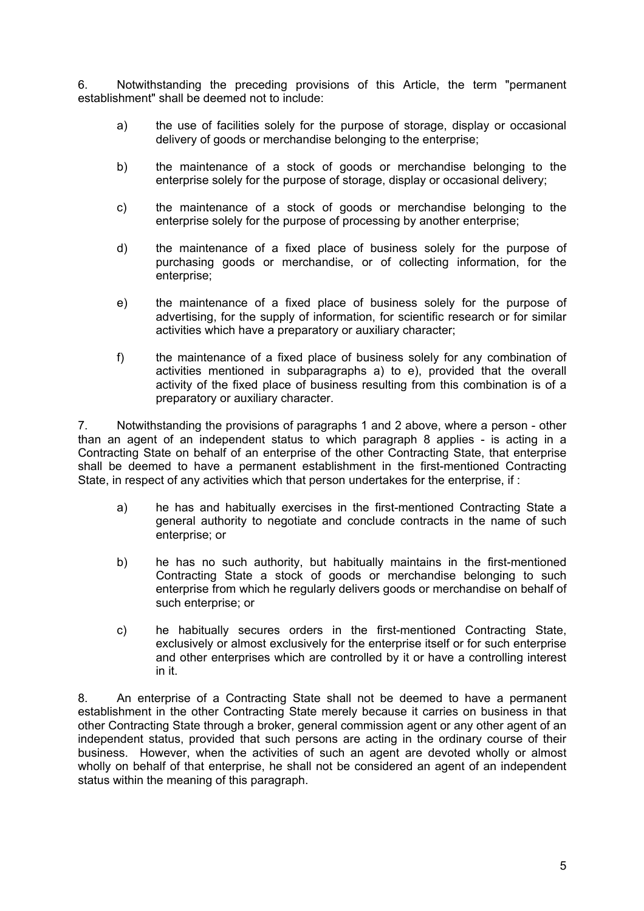6. Notwithstanding the preceding provisions of this Article, the term "permanent establishment" shall be deemed not to include:

- a) the use of facilities solely for the purpose of storage, display or occasional delivery of goods or merchandise belonging to the enterprise;
- b) the maintenance of a stock of goods or merchandise belonging to the enterprise solely for the purpose of storage, display or occasional delivery;
- c) the maintenance of a stock of goods or merchandise belonging to the enterprise solely for the purpose of processing by another enterprise;
- d) the maintenance of a fixed place of business solely for the purpose of purchasing goods or merchandise, or of collecting information, for the enterprise;
- e) the maintenance of a fixed place of business solely for the purpose of advertising, for the supply of information, for scientific research or for similar activities which have a preparatory or auxiliary character;
- f) the maintenance of a fixed place of business solely for any combination of activities mentioned in subparagraphs a) to e), provided that the overall activity of the fixed place of business resulting from this combination is of a preparatory or auxiliary character.

7. Notwithstanding the provisions of paragraphs 1 and 2 above, where a person - other than an agent of an independent status to which paragraph 8 applies - is acting in a Contracting State on behalf of an enterprise of the other Contracting State, that enterprise shall be deemed to have a permanent establishment in the first-mentioned Contracting State, in respect of any activities which that person undertakes for the enterprise, if :

- a) he has and habitually exercises in the first-mentioned Contracting State a general authority to negotiate and conclude contracts in the name of such enterprise; or
- b) he has no such authority, but habitually maintains in the first-mentioned Contracting State a stock of goods or merchandise belonging to such enterprise from which he regularly delivers goods or merchandise on behalf of such enterprise; or
- c) he habitually secures orders in the first-mentioned Contracting State, exclusively or almost exclusively for the enterprise itself or for such enterprise and other enterprises which are controlled by it or have a controlling interest in it.

8. An enterprise of a Contracting State shall not be deemed to have a permanent establishment in the other Contracting State merely because it carries on business in that other Contracting State through a broker, general commission agent or any other agent of an independent status, provided that such persons are acting in the ordinary course of their business. However, when the activities of such an agent are devoted wholly or almost wholly on behalf of that enterprise, he shall not be considered an agent of an independent status within the meaning of this paragraph.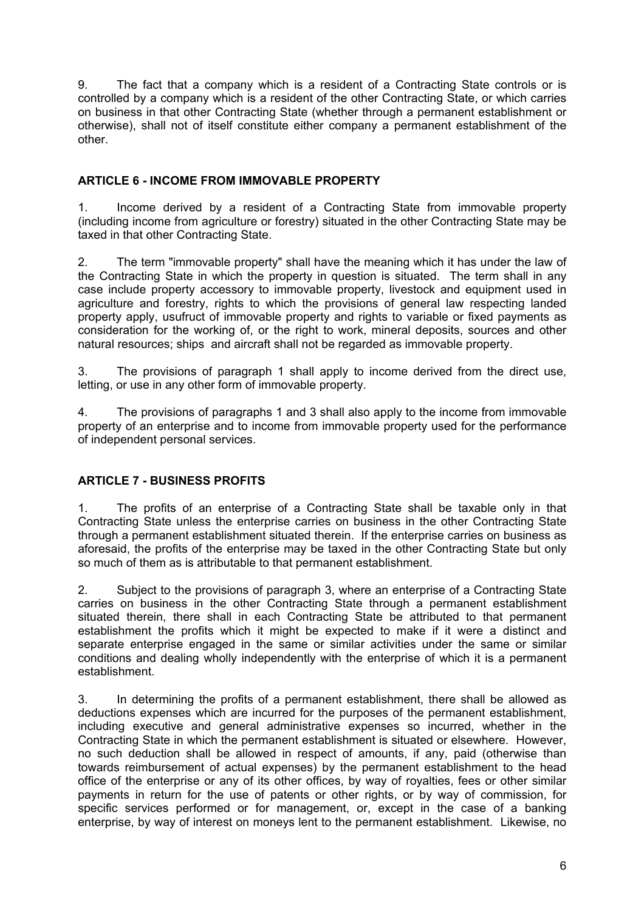9. The fact that a company which is a resident of a Contracting State controls or is controlled by a company which is a resident of the other Contracting State, or which carries on business in that other Contracting State (whether through a permanent establishment or otherwise), shall not of itself constitute either company a permanent establishment of the other.

# **ARTICLE 6 - INCOME FROM IMMOVABLE PROPERTY**

1. Income derived by a resident of a Contracting State from immovable property (including income from agriculture or forestry) situated in the other Contracting State may be taxed in that other Contracting State.

2. The term "immovable property" shall have the meaning which it has under the law of the Contracting State in which the property in question is situated. The term shall in any case include property accessory to immovable property, livestock and equipment used in agriculture and forestry, rights to which the provisions of general law respecting landed property apply, usufruct of immovable property and rights to variable or fixed payments as consideration for the working of, or the right to work, mineral deposits, sources and other natural resources; ships and aircraft shall not be regarded as immovable property.

3. The provisions of paragraph 1 shall apply to income derived from the direct use, letting, or use in any other form of immovable property.

4. The provisions of paragraphs 1 and 3 shall also apply to the income from immovable property of an enterprise and to income from immovable property used for the performance of independent personal services.

# **ARTICLE 7 - BUSINESS PROFITS**

1. The profits of an enterprise of a Contracting State shall be taxable only in that Contracting State unless the enterprise carries on business in the other Contracting State through a permanent establishment situated therein. If the enterprise carries on business as aforesaid, the profits of the enterprise may be taxed in the other Contracting State but only so much of them as is attributable to that permanent establishment.

2. Subject to the provisions of paragraph 3, where an enterprise of a Contracting State carries on business in the other Contracting State through a permanent establishment situated therein, there shall in each Contracting State be attributed to that permanent establishment the profits which it might be expected to make if it were a distinct and separate enterprise engaged in the same or similar activities under the same or similar conditions and dealing wholly independently with the enterprise of which it is a permanent establishment.

3. In determining the profits of a permanent establishment, there shall be allowed as deductions expenses which are incurred for the purposes of the permanent establishment, including executive and general administrative expenses so incurred, whether in the Contracting State in which the permanent establishment is situated or elsewhere. However, no such deduction shall be allowed in respect of amounts, if any, paid (otherwise than towards reimbursement of actual expenses) by the permanent establishment to the head office of the enterprise or any of its other offices, by way of royalties, fees or other similar payments in return for the use of patents or other rights, or by way of commission, for specific services performed or for management, or, except in the case of a banking enterprise, by way of interest on moneys lent to the permanent establishment. Likewise, no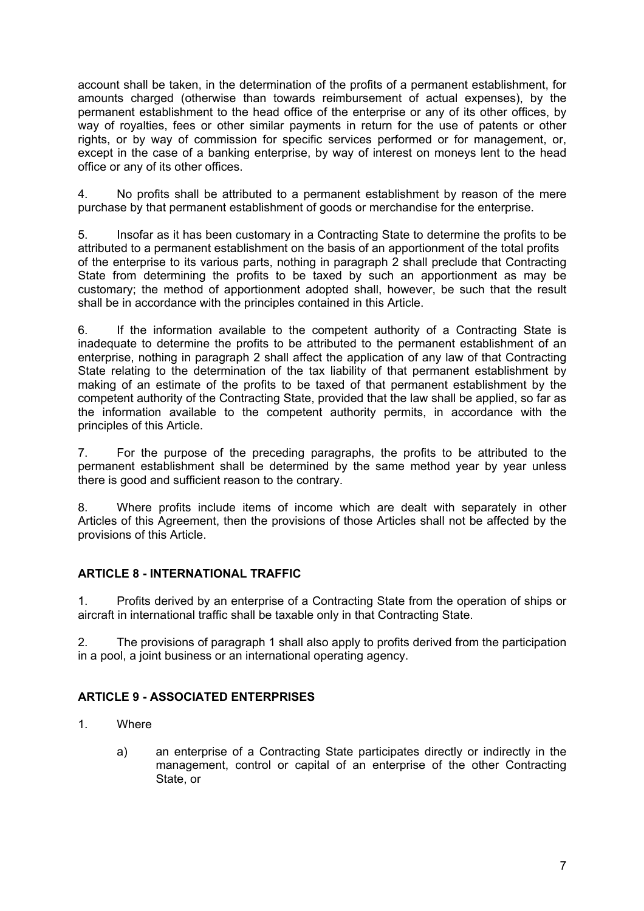account shall be taken, in the determination of the profits of a permanent establishment, for amounts charged (otherwise than towards reimbursement of actual expenses), by the permanent establishment to the head office of the enterprise or any of its other offices, by way of royalties, fees or other similar payments in return for the use of patents or other rights, or by way of commission for specific services performed or for management, or, except in the case of a banking enterprise, by way of interest on moneys lent to the head office or any of its other offices.

4. No profits shall be attributed to a permanent establishment by reason of the mere purchase by that permanent establishment of goods or merchandise for the enterprise.

5. Insofar as it has been customary in a Contracting State to determine the profits to be attributed to a permanent establishment on the basis of an apportionment of the total profits of the enterprise to its various parts, nothing in paragraph 2 shall preclude that Contracting State from determining the profits to be taxed by such an apportionment as may be customary; the method of apportionment adopted shall, however, be such that the result shall be in accordance with the principles contained in this Article.

6. If the information available to the competent authority of a Contracting State is inadequate to determine the profits to be attributed to the permanent establishment of an enterprise, nothing in paragraph 2 shall affect the application of any law of that Contracting State relating to the determination of the tax liability of that permanent establishment by making of an estimate of the profits to be taxed of that permanent establishment by the competent authority of the Contracting State, provided that the law shall be applied, so far as the information available to the competent authority permits, in accordance with the principles of this Article.

7. For the purpose of the preceding paragraphs, the profits to be attributed to the permanent establishment shall be determined by the same method year by year unless there is good and sufficient reason to the contrary.

8. Where profits include items of income which are dealt with separately in other Articles of this Agreement, then the provisions of those Articles shall not be affected by the provisions of this Article.

### **ARTICLE 8 - INTERNATIONAL TRAFFIC**

1. Profits derived by an enterprise of a Contracting State from the operation of ships or aircraft in international traffic shall be taxable only in that Contracting State.

2. The provisions of paragraph 1 shall also apply to profits derived from the participation in a pool, a joint business or an international operating agency.

# **ARTICLE 9 - ASSOCIATED ENTERPRISES**

- 1. Where
	- a) an enterprise of a Contracting State participates directly or indirectly in the management, control or capital of an enterprise of the other Contracting State, or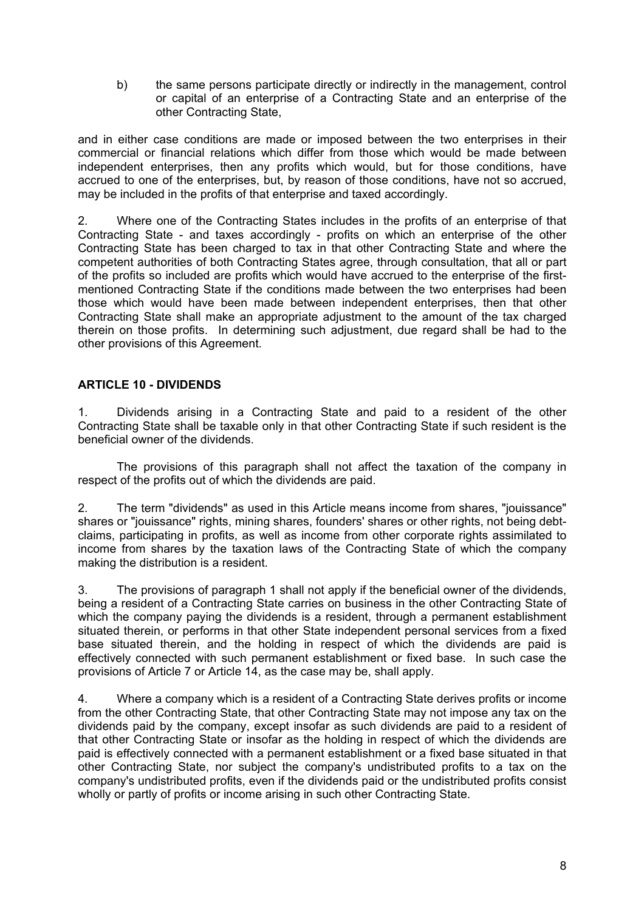b) the same persons participate directly or indirectly in the management, control or capital of an enterprise of a Contracting State and an enterprise of the other Contracting State,

and in either case conditions are made or imposed between the two enterprises in their commercial or financial relations which differ from those which would be made between independent enterprises, then any profits which would, but for those conditions, have accrued to one of the enterprises, but, by reason of those conditions, have not so accrued, may be included in the profits of that enterprise and taxed accordingly.

2. Where one of the Contracting States includes in the profits of an enterprise of that Contracting State - and taxes accordingly - profits on which an enterprise of the other Contracting State has been charged to tax in that other Contracting State and where the competent authorities of both Contracting States agree, through consultation, that all or part of the profits so included are profits which would have accrued to the enterprise of the firstmentioned Contracting State if the conditions made between the two enterprises had been those which would have been made between independent enterprises, then that other Contracting State shall make an appropriate adjustment to the amount of the tax charged therein on those profits. In determining such adjustment, due regard shall be had to the other provisions of this Agreement.

# **ARTICLE 10 - DIVIDENDS**

1. Dividends arising in a Contracting State and paid to a resident of the other Contracting State shall be taxable only in that other Contracting State if such resident is the beneficial owner of the dividends.

The provisions of this paragraph shall not affect the taxation of the company in respect of the profits out of which the dividends are paid.

2. The term "dividends" as used in this Article means income from shares, "jouissance" shares or "jouissance" rights, mining shares, founders' shares or other rights, not being debtclaims, participating in profits, as well as income from other corporate rights assimilated to income from shares by the taxation laws of the Contracting State of which the company making the distribution is a resident.

3. The provisions of paragraph 1 shall not apply if the beneficial owner of the dividends, being a resident of a Contracting State carries on business in the other Contracting State of which the company paying the dividends is a resident, through a permanent establishment situated therein, or performs in that other State independent personal services from a fixed base situated therein, and the holding in respect of which the dividends are paid is effectively connected with such permanent establishment or fixed base. In such case the provisions of Article 7 or Article 14, as the case may be, shall apply.

4. Where a company which is a resident of a Contracting State derives profits or income from the other Contracting State, that other Contracting State may not impose any tax on the dividends paid by the company, except insofar as such dividends are paid to a resident of that other Contracting State or insofar as the holding in respect of which the dividends are paid is effectively connected with a permanent establishment or a fixed base situated in that other Contracting State, nor subject the company's undistributed profits to a tax on the company's undistributed profits, even if the dividends paid or the undistributed profits consist wholly or partly of profits or income arising in such other Contracting State.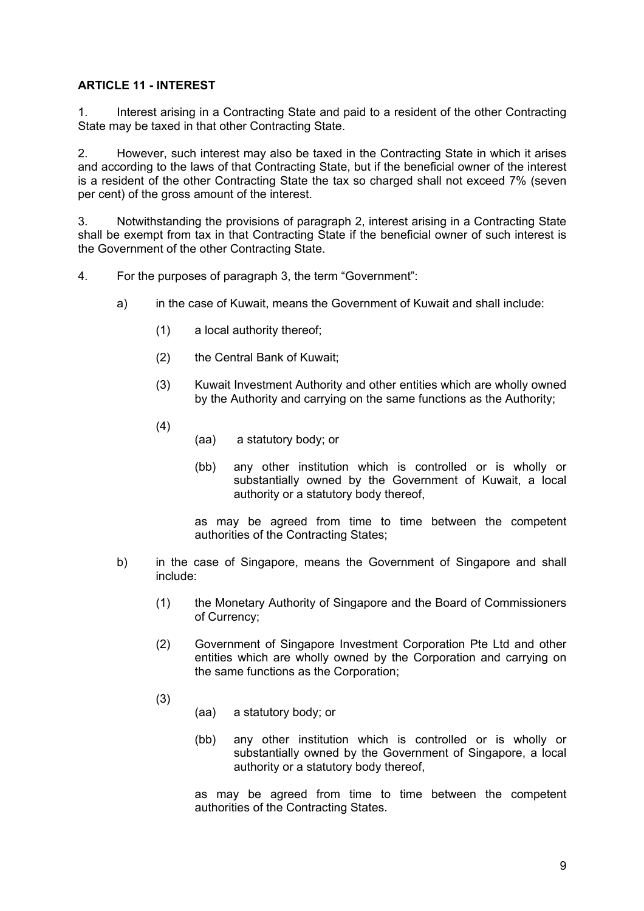## **ARTICLE 11 - INTEREST**

1. Interest arising in a Contracting State and paid to a resident of the other Contracting State may be taxed in that other Contracting State.

2. However, such interest may also be taxed in the Contracting State in which it arises and according to the laws of that Contracting State, but if the beneficial owner of the interest is a resident of the other Contracting State the tax so charged shall not exceed 7% (seven per cent) of the gross amount of the interest.

3. Notwithstanding the provisions of paragraph 2, interest arising in a Contracting State shall be exempt from tax in that Contracting State if the beneficial owner of such interest is the Government of the other Contracting State.

- 4. For the purposes of paragraph 3, the term "Government":
	- a) in the case of Kuwait, means the Government of Kuwait and shall include:
		- (1) a local authority thereof;
		- (2) the Central Bank of Kuwait;
		- (3) Kuwait Investment Authority and other entities which are wholly owned by the Authority and carrying on the same functions as the Authority;
		- (4)
- (aa) a statutory body; or
- (bb) any other institution which is controlled or is wholly or substantially owned by the Government of Kuwait, a local authority or a statutory body thereof,

as may be agreed from time to time between the competent authorities of the Contracting States;

- b) in the case of Singapore, means the Government of Singapore and shall include:
	- (1) the Monetary Authority of Singapore and the Board of Commissioners of Currency;
	- (2) Government of Singapore Investment Corporation Pte Ltd and other entities which are wholly owned by the Corporation and carrying on the same functions as the Corporation;
	- (3)
- (aa) a statutory body; or
- (bb) any other institution which is controlled or is wholly or substantially owned by the Government of Singapore, a local authority or a statutory body thereof,

as may be agreed from time to time between the competent authorities of the Contracting States.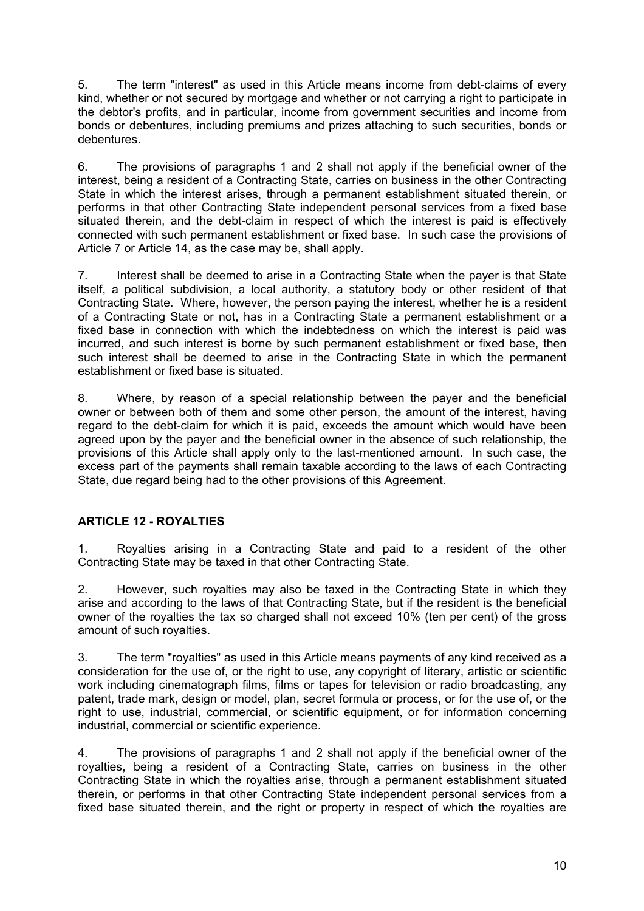5. The term "interest" as used in this Article means income from debt-claims of every kind, whether or not secured by mortgage and whether or not carrying a right to participate in the debtor's profits, and in particular, income from government securities and income from bonds or debentures, including premiums and prizes attaching to such securities, bonds or debentures.

6. The provisions of paragraphs 1 and 2 shall not apply if the beneficial owner of the interest, being a resident of a Contracting State, carries on business in the other Contracting State in which the interest arises, through a permanent establishment situated therein, or performs in that other Contracting State independent personal services from a fixed base situated therein, and the debt-claim in respect of which the interest is paid is effectively connected with such permanent establishment or fixed base. In such case the provisions of Article 7 or Article 14, as the case may be, shall apply.

7. Interest shall be deemed to arise in a Contracting State when the payer is that State itself, a political subdivision, a local authority, a statutory body or other resident of that Contracting State. Where, however, the person paying the interest, whether he is a resident of a Contracting State or not, has in a Contracting State a permanent establishment or a fixed base in connection with which the indebtedness on which the interest is paid was incurred, and such interest is borne by such permanent establishment or fixed base, then such interest shall be deemed to arise in the Contracting State in which the permanent establishment or fixed base is situated.

8. Where, by reason of a special relationship between the payer and the beneficial owner or between both of them and some other person, the amount of the interest, having regard to the debt-claim for which it is paid, exceeds the amount which would have been agreed upon by the payer and the beneficial owner in the absence of such relationship, the provisions of this Article shall apply only to the last-mentioned amount. In such case, the excess part of the payments shall remain taxable according to the laws of each Contracting State, due regard being had to the other provisions of this Agreement.

# **ARTICLE 12 - ROYALTIES**

1. Royalties arising in a Contracting State and paid to a resident of the other Contracting State may be taxed in that other Contracting State.

2. However, such royalties may also be taxed in the Contracting State in which they arise and according to the laws of that Contracting State, but if the resident is the beneficial owner of the royalties the tax so charged shall not exceed 10% (ten per cent) of the gross amount of such royalties.

3. The term "royalties" as used in this Article means payments of any kind received as a consideration for the use of, or the right to use, any copyright of literary, artistic or scientific work including cinematograph films, films or tapes for television or radio broadcasting, any patent, trade mark, design or model, plan, secret formula or process, or for the use of, or the right to use, industrial, commercial, or scientific equipment, or for information concerning industrial, commercial or scientific experience.

4. The provisions of paragraphs 1 and 2 shall not apply if the beneficial owner of the royalties, being a resident of a Contracting State, carries on business in the other Contracting State in which the royalties arise, through a permanent establishment situated therein, or performs in that other Contracting State independent personal services from a fixed base situated therein, and the right or property in respect of which the royalties are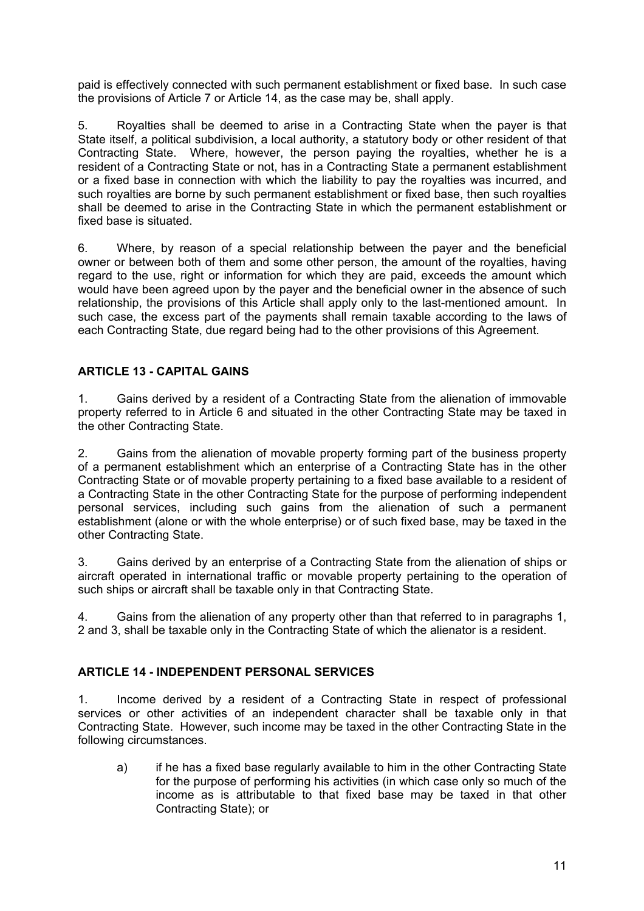paid is effectively connected with such permanent establishment or fixed base. In such case the provisions of Article 7 or Article 14, as the case may be, shall apply.

5. Royalties shall be deemed to arise in a Contracting State when the payer is that State itself, a political subdivision, a local authority, a statutory body or other resident of that Contracting State. Where, however, the person paying the royalties, whether he is a resident of a Contracting State or not, has in a Contracting State a permanent establishment or a fixed base in connection with which the liability to pay the royalties was incurred, and such royalties are borne by such permanent establishment or fixed base, then such royalties shall be deemed to arise in the Contracting State in which the permanent establishment or fixed base is situated.

6. Where, by reason of a special relationship between the payer and the beneficial owner or between both of them and some other person, the amount of the royalties, having regard to the use, right or information for which they are paid, exceeds the amount which would have been agreed upon by the payer and the beneficial owner in the absence of such relationship, the provisions of this Article shall apply only to the last-mentioned amount. In such case, the excess part of the payments shall remain taxable according to the laws of each Contracting State, due regard being had to the other provisions of this Agreement.

# **ARTICLE 13 - CAPITAL GAINS**

1. Gains derived by a resident of a Contracting State from the alienation of immovable property referred to in Article 6 and situated in the other Contracting State may be taxed in the other Contracting State.

2. Gains from the alienation of movable property forming part of the business property of a permanent establishment which an enterprise of a Contracting State has in the other Contracting State or of movable property pertaining to a fixed base available to a resident of a Contracting State in the other Contracting State for the purpose of performing independent personal services, including such gains from the alienation of such a permanent establishment (alone or with the whole enterprise) or of such fixed base, may be taxed in the other Contracting State.

3. Gains derived by an enterprise of a Contracting State from the alienation of ships or aircraft operated in international traffic or movable property pertaining to the operation of such ships or aircraft shall be taxable only in that Contracting State.

4. Gains from the alienation of any property other than that referred to in paragraphs 1, 2 and 3, shall be taxable only in the Contracting State of which the alienator is a resident.

### **ARTICLE 14 - INDEPENDENT PERSONAL SERVICES**

1. Income derived by a resident of a Contracting State in respect of professional services or other activities of an independent character shall be taxable only in that Contracting State. However, such income may be taxed in the other Contracting State in the following circumstances.

a) if he has a fixed base regularly available to him in the other Contracting State for the purpose of performing his activities (in which case only so much of the income as is attributable to that fixed base may be taxed in that other Contracting State); or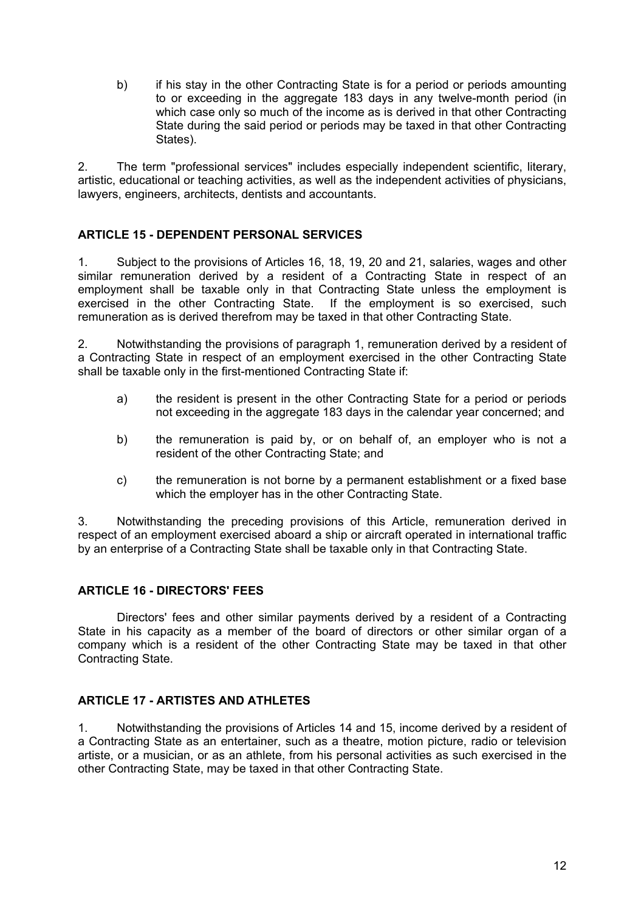b) if his stay in the other Contracting State is for a period or periods amounting to or exceeding in the aggregate 183 days in any twelve-month period (in which case only so much of the income as is derived in that other Contracting State during the said period or periods may be taxed in that other Contracting States).

2. The term "professional services" includes especially independent scientific, literary, artistic, educational or teaching activities, as well as the independent activities of physicians, lawyers, engineers, architects, dentists and accountants.

# **ARTICLE 15 - DEPENDENT PERSONAL SERVICES**

1. Subject to the provisions of Articles 16, 18, 19, 20 and 21, salaries, wages and other similar remuneration derived by a resident of a Contracting State in respect of an employment shall be taxable only in that Contracting State unless the employment is exercised in the other Contracting State. If the employment is so exercised, such remuneration as is derived therefrom may be taxed in that other Contracting State.

2. Notwithstanding the provisions of paragraph 1, remuneration derived by a resident of a Contracting State in respect of an employment exercised in the other Contracting State shall be taxable only in the first-mentioned Contracting State if:

- a) the resident is present in the other Contracting State for a period or periods not exceeding in the aggregate 183 days in the calendar year concerned; and
- b) the remuneration is paid by, or on behalf of, an employer who is not a resident of the other Contracting State; and
- c) the remuneration is not borne by a permanent establishment or a fixed base which the employer has in the other Contracting State.

3. Notwithstanding the preceding provisions of this Article, remuneration derived in respect of an employment exercised aboard a ship or aircraft operated in international traffic by an enterprise of a Contracting State shall be taxable only in that Contracting State.

### **ARTICLE 16 - DIRECTORS' FEES**

Directors' fees and other similar payments derived by a resident of a Contracting State in his capacity as a member of the board of directors or other similar organ of a company which is a resident of the other Contracting State may be taxed in that other Contracting State.

### **ARTICLE 17 - ARTISTES AND ATHLETES**

1. Notwithstanding the provisions of Articles 14 and 15, income derived by a resident of a Contracting State as an entertainer, such as a theatre, motion picture, radio or television artiste, or a musician, or as an athlete, from his personal activities as such exercised in the other Contracting State, may be taxed in that other Contracting State.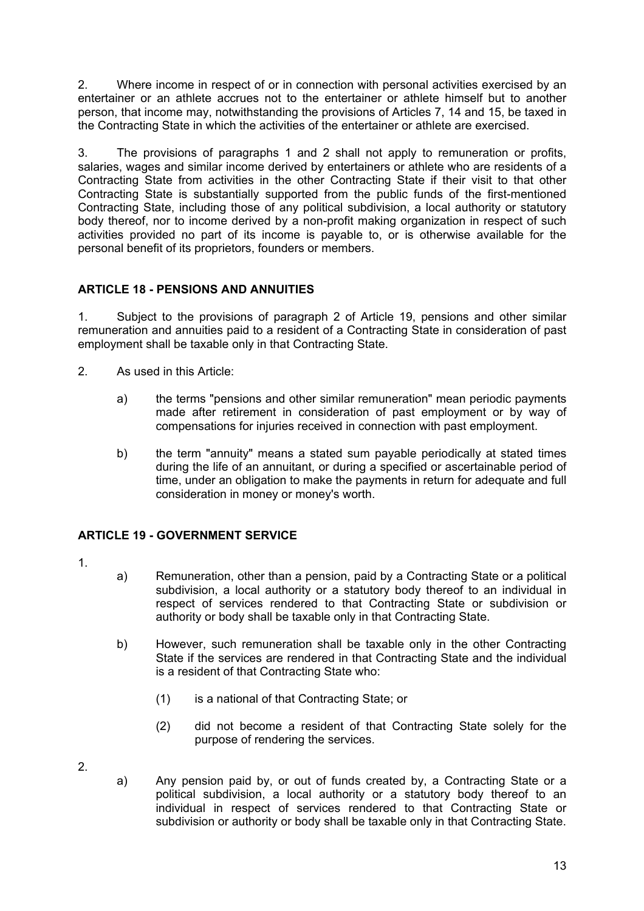2. Where income in respect of or in connection with personal activities exercised by an entertainer or an athlete accrues not to the entertainer or athlete himself but to another person, that income may, notwithstanding the provisions of Articles 7, 14 and 15, be taxed in the Contracting State in which the activities of the entertainer or athlete are exercised.

3. The provisions of paragraphs 1 and 2 shall not apply to remuneration or profits, salaries, wages and similar income derived by entertainers or athlete who are residents of a Contracting State from activities in the other Contracting State if their visit to that other Contracting State is substantially supported from the public funds of the first-mentioned Contracting State, including those of any political subdivision, a local authority or statutory body thereof, nor to income derived by a non-profit making organization in respect of such activities provided no part of its income is payable to, or is otherwise available for the personal benefit of its proprietors, founders or members.

# **ARTICLE 18 - PENSIONS AND ANNUITIES**

1. Subject to the provisions of paragraph 2 of Article 19, pensions and other similar remuneration and annuities paid to a resident of a Contracting State in consideration of past employment shall be taxable only in that Contracting State.

- 2. As used in this Article:
	- a) the terms "pensions and other similar remuneration" mean periodic payments made after retirement in consideration of past employment or by way of compensations for injuries received in connection with past employment.
	- b) the term "annuity" means a stated sum payable periodically at stated times during the life of an annuitant, or during a specified or ascertainable period of time, under an obligation to make the payments in return for adequate and full consideration in money or money's worth.

# **ARTICLE 19 - GOVERNMENT SERVICE**

- 1.
- a) Remuneration, other than a pension, paid by a Contracting State or a political subdivision, a local authority or a statutory body thereof to an individual in respect of services rendered to that Contracting State or subdivision or authority or body shall be taxable only in that Contracting State.
- b) However, such remuneration shall be taxable only in the other Contracting State if the services are rendered in that Contracting State and the individual is a resident of that Contracting State who:
	- (1) is a national of that Contracting State; or
	- (2) did not become a resident of that Contracting State solely for the purpose of rendering the services.
- 2.
- a) Any pension paid by, or out of funds created by, a Contracting State or a political subdivision, a local authority or a statutory body thereof to an individual in respect of services rendered to that Contracting State or subdivision or authority or body shall be taxable only in that Contracting State.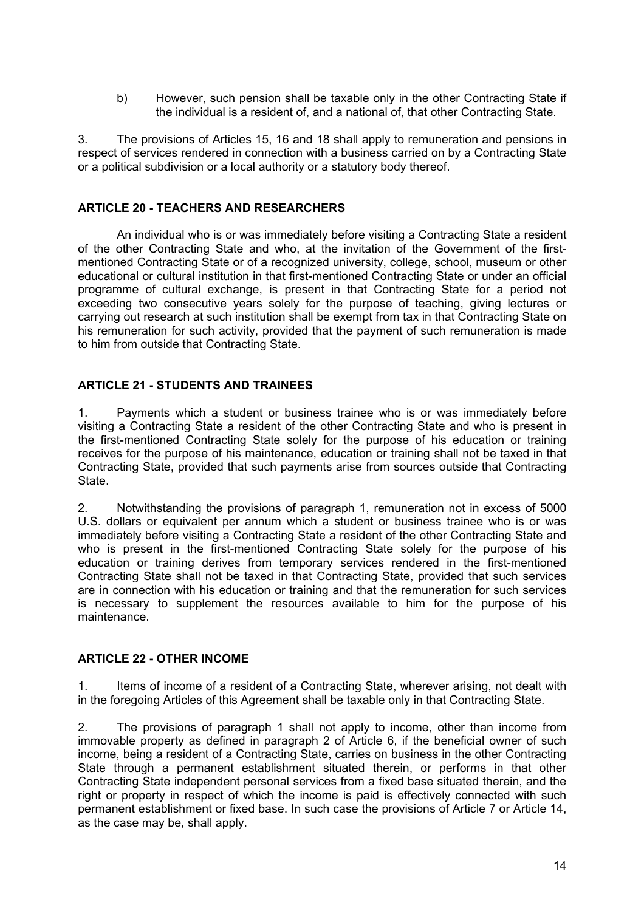b) However, such pension shall be taxable only in the other Contracting State if the individual is a resident of, and a national of, that other Contracting State.

3. The provisions of Articles 15, 16 and 18 shall apply to remuneration and pensions in respect of services rendered in connection with a business carried on by a Contracting State or a political subdivision or a local authority or a statutory body thereof.

## **ARTICLE 20 - TEACHERS AND RESEARCHERS**

An individual who is or was immediately before visiting a Contracting State a resident of the other Contracting State and who, at the invitation of the Government of the firstmentioned Contracting State or of a recognized university, college, school, museum or other educational or cultural institution in that first-mentioned Contracting State or under an official programme of cultural exchange, is present in that Contracting State for a period not exceeding two consecutive years solely for the purpose of teaching, giving lectures or carrying out research at such institution shall be exempt from tax in that Contracting State on his remuneration for such activity, provided that the payment of such remuneration is made to him from outside that Contracting State.

### **ARTICLE 21 - STUDENTS AND TRAINEES**

1. Payments which a student or business trainee who is or was immediately before visiting a Contracting State a resident of the other Contracting State and who is present in the first-mentioned Contracting State solely for the purpose of his education or training receives for the purpose of his maintenance, education or training shall not be taxed in that Contracting State, provided that such payments arise from sources outside that Contracting State.

2. Notwithstanding the provisions of paragraph 1, remuneration not in excess of 5000 U.S. dollars or equivalent per annum which a student or business trainee who is or was immediately before visiting a Contracting State a resident of the other Contracting State and who is present in the first-mentioned Contracting State solely for the purpose of his education or training derives from temporary services rendered in the first-mentioned Contracting State shall not be taxed in that Contracting State, provided that such services are in connection with his education or training and that the remuneration for such services is necessary to supplement the resources available to him for the purpose of his maintenance.

### **ARTICLE 22 - OTHER INCOME**

1. Items of income of a resident of a Contracting State, wherever arising, not dealt with in the foregoing Articles of this Agreement shall be taxable only in that Contracting State.

2. The provisions of paragraph 1 shall not apply to income, other than income from immovable property as defined in paragraph 2 of Article 6, if the beneficial owner of such income, being a resident of a Contracting State, carries on business in the other Contracting State through a permanent establishment situated therein, or performs in that other Contracting State independent personal services from a fixed base situated therein, and the right or property in respect of which the income is paid is effectively connected with such permanent establishment or fixed base. In such case the provisions of Article 7 or Article 14, as the case may be, shall apply.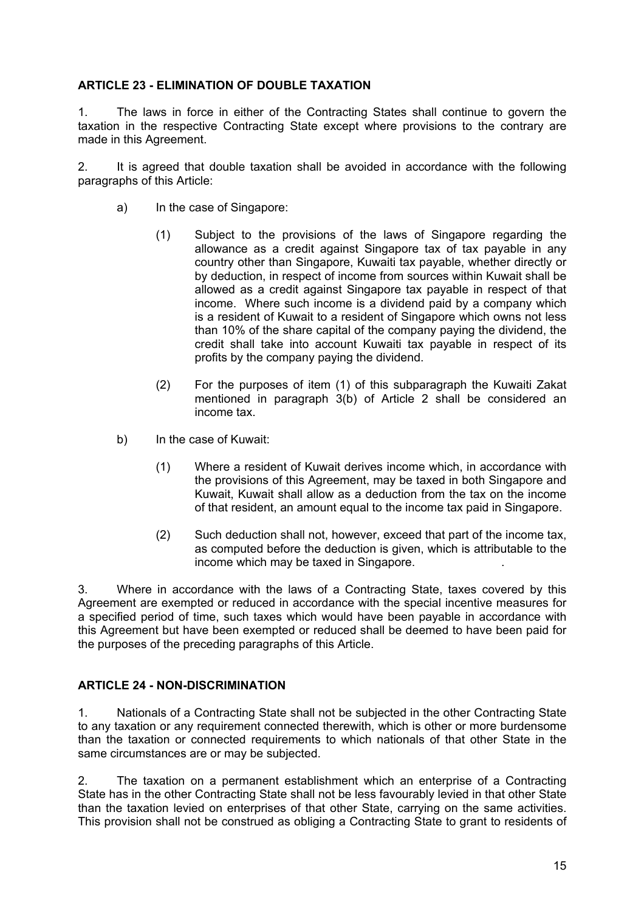## **ARTICLE 23 - ELIMINATION OF DOUBLE TAXATION**

1. The laws in force in either of the Contracting States shall continue to govern the taxation in the respective Contracting State except where provisions to the contrary are made in this Agreement.

2. It is agreed that double taxation shall be avoided in accordance with the following paragraphs of this Article:

- a) In the case of Singapore:
	- (1) Subject to the provisions of the laws of Singapore regarding the allowance as a credit against Singapore tax of tax payable in any country other than Singapore, Kuwaiti tax payable, whether directly or by deduction, in respect of income from sources within Kuwait shall be allowed as a credit against Singapore tax payable in respect of that income. Where such income is a dividend paid by a company which is a resident of Kuwait to a resident of Singapore which owns not less than 10% of the share capital of the company paying the dividend, the credit shall take into account Kuwaiti tax payable in respect of its profits by the company paying the dividend.
	- (2) For the purposes of item (1) of this subparagraph the Kuwaiti Zakat mentioned in paragraph 3(b) of Article 2 shall be considered an income tax.
- b) In the case of Kuwait:
	- (1) Where a resident of Kuwait derives income which, in accordance with the provisions of this Agreement, may be taxed in both Singapore and Kuwait, Kuwait shall allow as a deduction from the tax on the income of that resident, an amount equal to the income tax paid in Singapore.
	- (2) Such deduction shall not, however, exceed that part of the income tax, as computed before the deduction is given, which is attributable to the income which may be taxed in Singapore. .

3. Where in accordance with the laws of a Contracting State, taxes covered by this Agreement are exempted or reduced in accordance with the special incentive measures for a specified period of time, such taxes which would have been payable in accordance with this Agreement but have been exempted or reduced shall be deemed to have been paid for the purposes of the preceding paragraphs of this Article.

### **ARTICLE 24 - NON-DISCRIMINATION**

1. Nationals of a Contracting State shall not be subjected in the other Contracting State to any taxation or any requirement connected therewith, which is other or more burdensome than the taxation or connected requirements to which nationals of that other State in the same circumstances are or may be subjected.

2. The taxation on a permanent establishment which an enterprise of a Contracting State has in the other Contracting State shall not be less favourably levied in that other State than the taxation levied on enterprises of that other State, carrying on the same activities. This provision shall not be construed as obliging a Contracting State to grant to residents of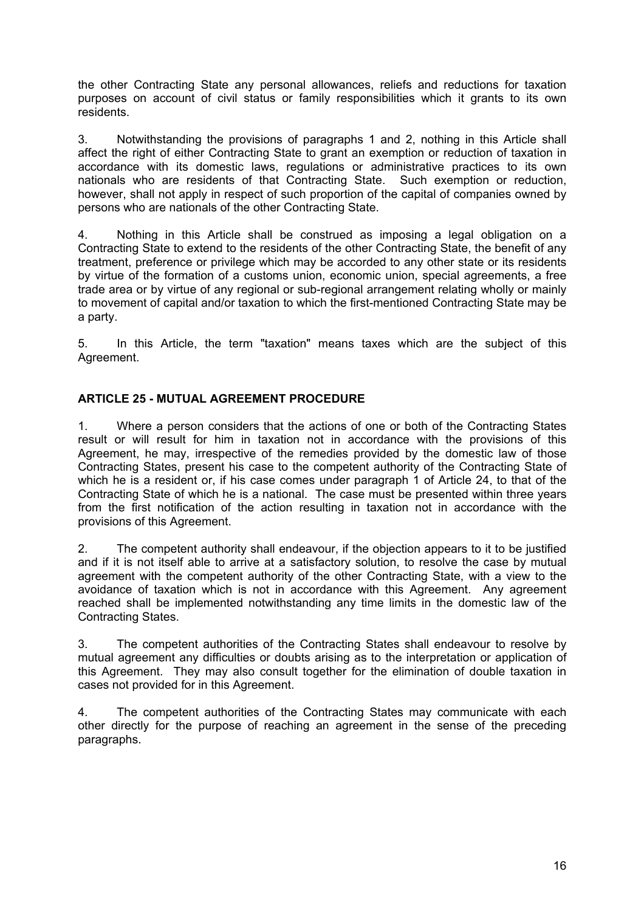the other Contracting State any personal allowances, reliefs and reductions for taxation purposes on account of civil status or family responsibilities which it grants to its own residents.

3. Notwithstanding the provisions of paragraphs 1 and 2, nothing in this Article shall affect the right of either Contracting State to grant an exemption or reduction of taxation in accordance with its domestic laws, regulations or administrative practices to its own nationals who are residents of that Contracting State. Such exemption or reduction, however, shall not apply in respect of such proportion of the capital of companies owned by persons who are nationals of the other Contracting State.

4. Nothing in this Article shall be construed as imposing a legal obligation on a Contracting State to extend to the residents of the other Contracting State, the benefit of any treatment, preference or privilege which may be accorded to any other state or its residents by virtue of the formation of a customs union, economic union, special agreements, a free trade area or by virtue of any regional or sub-regional arrangement relating wholly or mainly to movement of capital and/or taxation to which the first-mentioned Contracting State may be a party.

5. In this Article, the term "taxation" means taxes which are the subject of this Agreement.

# **ARTICLE 25 - MUTUAL AGREEMENT PROCEDURE**

1. Where a person considers that the actions of one or both of the Contracting States result or will result for him in taxation not in accordance with the provisions of this Agreement, he may, irrespective of the remedies provided by the domestic law of those Contracting States, present his case to the competent authority of the Contracting State of which he is a resident or, if his case comes under paragraph 1 of Article 24, to that of the Contracting State of which he is a national. The case must be presented within three years from the first notification of the action resulting in taxation not in accordance with the provisions of this Agreement.

2. The competent authority shall endeavour, if the objection appears to it to be justified and if it is not itself able to arrive at a satisfactory solution, to resolve the case by mutual agreement with the competent authority of the other Contracting State, with a view to the avoidance of taxation which is not in accordance with this Agreement. Any agreement reached shall be implemented notwithstanding any time limits in the domestic law of the Contracting States.

3. The competent authorities of the Contracting States shall endeavour to resolve by mutual agreement any difficulties or doubts arising as to the interpretation or application of this Agreement. They may also consult together for the elimination of double taxation in cases not provided for in this Agreement.

4. The competent authorities of the Contracting States may communicate with each other directly for the purpose of reaching an agreement in the sense of the preceding paragraphs.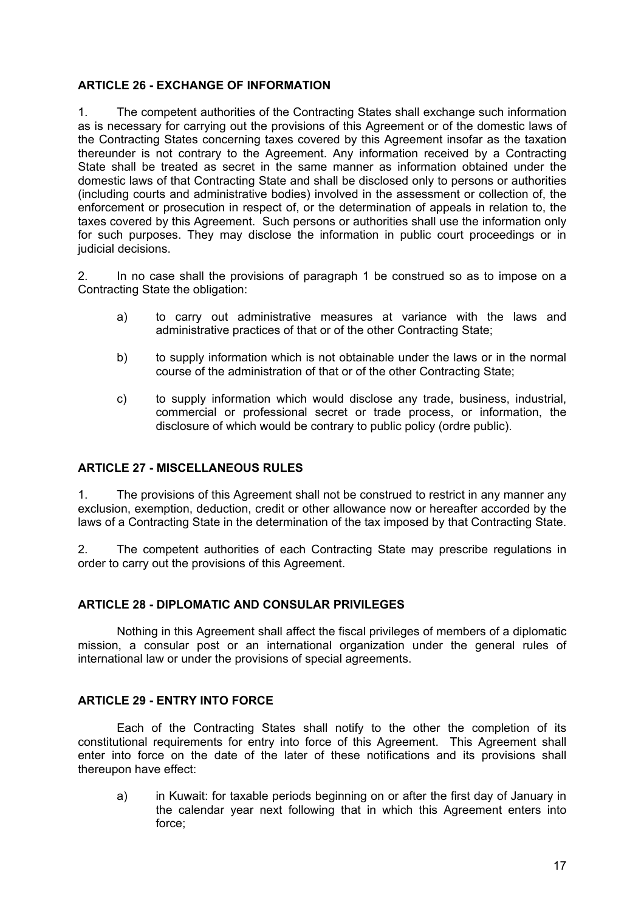## **ARTICLE 26 - EXCHANGE OF INFORMATION**

1. The competent authorities of the Contracting States shall exchange such information as is necessary for carrying out the provisions of this Agreement or of the domestic laws of the Contracting States concerning taxes covered by this Agreement insofar as the taxation thereunder is not contrary to the Agreement. Any information received by a Contracting State shall be treated as secret in the same manner as information obtained under the domestic laws of that Contracting State and shall be disclosed only to persons or authorities (including courts and administrative bodies) involved in the assessment or collection of, the enforcement or prosecution in respect of, or the determination of appeals in relation to, the taxes covered by this Agreement. Such persons or authorities shall use the information only for such purposes. They may disclose the information in public court proceedings or in judicial decisions.

2. In no case shall the provisions of paragraph 1 be construed so as to impose on a Contracting State the obligation:

- a) to carry out administrative measures at variance with the laws and administrative practices of that or of the other Contracting State;
- b) to supply information which is not obtainable under the laws or in the normal course of the administration of that or of the other Contracting State;
- c) to supply information which would disclose any trade, business, industrial, commercial or professional secret or trade process, or information, the disclosure of which would be contrary to public policy (ordre public).

### **ARTICLE 27 - MISCELLANEOUS RULES**

1. The provisions of this Agreement shall not be construed to restrict in any manner any exclusion, exemption, deduction, credit or other allowance now or hereafter accorded by the laws of a Contracting State in the determination of the tax imposed by that Contracting State.

2. The competent authorities of each Contracting State may prescribe regulations in order to carry out the provisions of this Agreement.

### **ARTICLE 28 - DIPLOMATIC AND CONSULAR PRIVILEGES**

Nothing in this Agreement shall affect the fiscal privileges of members of a diplomatic mission, a consular post or an international organization under the general rules of international law or under the provisions of special agreements.

### **ARTICLE 29 - ENTRY INTO FORCE**

Each of the Contracting States shall notify to the other the completion of its constitutional requirements for entry into force of this Agreement. This Agreement shall enter into force on the date of the later of these notifications and its provisions shall thereupon have effect:

a) in Kuwait: for taxable periods beginning on or after the first day of January in the calendar year next following that in which this Agreement enters into force;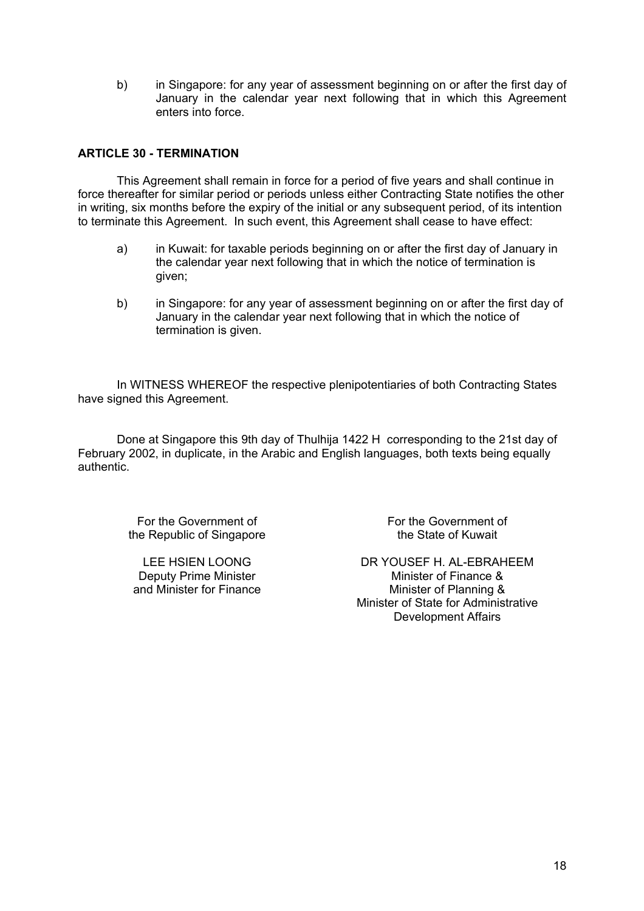b) in Singapore: for any year of assessment beginning on or after the first day of January in the calendar year next following that in which this Agreement enters into force.

## **ARTICLE 30 - TERMINATION**

This Agreement shall remain in force for a period of five years and shall continue in force thereafter for similar period or periods unless either Contracting State notifies the other in writing, six months before the expiry of the initial or any subsequent period, of its intention to terminate this Agreement. In such event, this Agreement shall cease to have effect:

- a) in Kuwait: for taxable periods beginning on or after the first day of January in the calendar year next following that in which the notice of termination is given;
- b) in Singapore: for any year of assessment beginning on or after the first day of January in the calendar year next following that in which the notice of termination is given.

In WITNESS WHEREOF the respective plenipotentiaries of both Contracting States have signed this Agreement.

Done at Singapore this 9th day of Thulhija 1422 H corresponding to the 21st day of February 2002, in duplicate, in the Arabic and English languages, both texts being equally authentic.

> For the Government of the Republic of Singapore

LEE HSIEN LOONG Deputy Prime Minister and Minister for Finance For the Government of the State of Kuwait

DR YOUSEF H. AL-EBRAHEEM Minister of Finance & Minister of Planning & Minister of State for Administrative Development Affairs